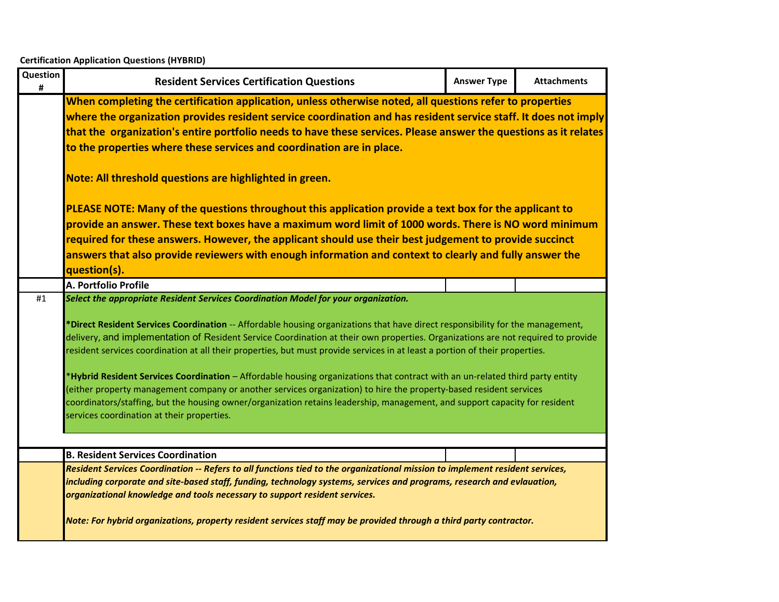| Question<br># | <b>Resident Services Certification Questions</b>                                                                                                                                                                                                                                                                                                                                                                                                                                                                                                                                                                                                                                                                                                                                                                                                                                                                             | <b>Answer Type</b> | <b>Attachments</b> |  |  |
|---------------|------------------------------------------------------------------------------------------------------------------------------------------------------------------------------------------------------------------------------------------------------------------------------------------------------------------------------------------------------------------------------------------------------------------------------------------------------------------------------------------------------------------------------------------------------------------------------------------------------------------------------------------------------------------------------------------------------------------------------------------------------------------------------------------------------------------------------------------------------------------------------------------------------------------------------|--------------------|--------------------|--|--|
|               | When completing the certification application, unless otherwise noted, all questions refer to properties<br>where the organization provides resident service coordination and has resident service staff. It does not imply<br>that the organization's entire portfolio needs to have these services. Please answer the questions as it relates<br>to the properties where these services and coordination are in place.                                                                                                                                                                                                                                                                                                                                                                                                                                                                                                     |                    |                    |  |  |
|               | Note: All threshold questions are highlighted in green.                                                                                                                                                                                                                                                                                                                                                                                                                                                                                                                                                                                                                                                                                                                                                                                                                                                                      |                    |                    |  |  |
|               | PLEASE NOTE: Many of the questions throughout this application provide a text box for the applicant to<br>provide an answer. These text boxes have a maximum word limit of 1000 words. There is NO word minimum<br>required for these answers. However, the applicant should use their best judgement to provide succinct<br>answers that also provide reviewers with enough information and context to clearly and fully answer the<br>question(s).                                                                                                                                                                                                                                                                                                                                                                                                                                                                         |                    |                    |  |  |
|               | A. Portfolio Profile                                                                                                                                                                                                                                                                                                                                                                                                                                                                                                                                                                                                                                                                                                                                                                                                                                                                                                         |                    |                    |  |  |
| #1            | Select the appropriate Resident Services Coordination Model for your organization.<br>*Direct Resident Services Coordination -- Affordable housing organizations that have direct responsibility for the management,<br>delivery, and implementation of Resident Service Coordination at their own properties. Organizations are not required to provide<br>resident services coordination at all their properties, but must provide services in at least a portion of their properties.<br>*Hybrid Resident Services Coordination – Affordable housing organizations that contract with an un-related third party entity<br>(either property management company or another services organization) to hire the property-based resident services<br>coordinators/staffing, but the housing owner/organization retains leadership, management, and support capacity for resident<br>services coordination at their properties. |                    |                    |  |  |
|               |                                                                                                                                                                                                                                                                                                                                                                                                                                                                                                                                                                                                                                                                                                                                                                                                                                                                                                                              |                    |                    |  |  |
|               | <b>B. Resident Services Coordination</b><br>Resident Services Coordination -- Refers to all functions tied to the organizational mission to implement resident services,                                                                                                                                                                                                                                                                                                                                                                                                                                                                                                                                                                                                                                                                                                                                                     |                    |                    |  |  |
|               | including corporate and site-based staff, funding, technology systems, services and programs, research and evlauation,<br>organizational knowledge and tools necessary to support resident services.<br>Note: For hybrid organizations, property resident services staff may be provided through a third party contractor.                                                                                                                                                                                                                                                                                                                                                                                                                                                                                                                                                                                                   |                    |                    |  |  |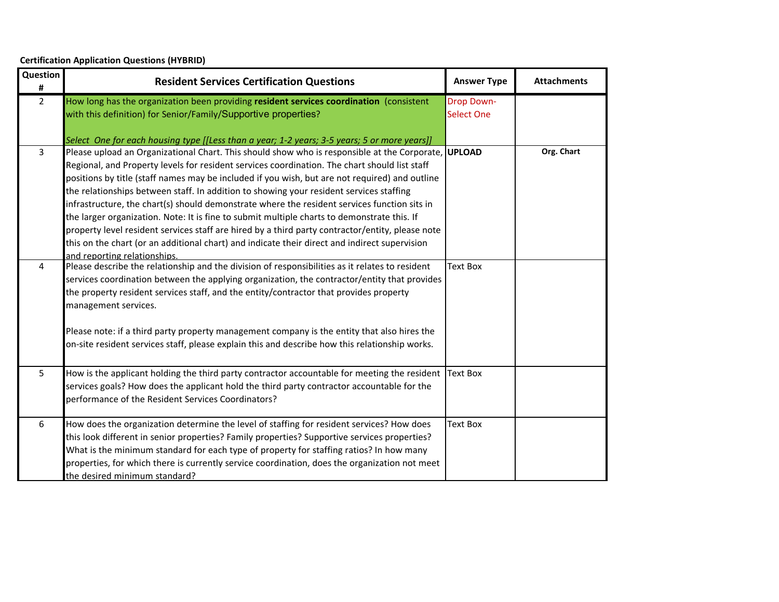| Question<br>#  | <b>Resident Services Certification Questions</b>                                                                                                                                                                                                                                                                                                                                                                                                                                                                                                                                                                                                                                                                                                                                                                                                                                                                                      | <b>Answer Type</b>                     | <b>Attachments</b> |
|----------------|---------------------------------------------------------------------------------------------------------------------------------------------------------------------------------------------------------------------------------------------------------------------------------------------------------------------------------------------------------------------------------------------------------------------------------------------------------------------------------------------------------------------------------------------------------------------------------------------------------------------------------------------------------------------------------------------------------------------------------------------------------------------------------------------------------------------------------------------------------------------------------------------------------------------------------------|----------------------------------------|--------------------|
| $\overline{2}$ | How long has the organization been providing resident services coordination (consistent<br>with this definition) for Senior/Family/Supportive properties?                                                                                                                                                                                                                                                                                                                                                                                                                                                                                                                                                                                                                                                                                                                                                                             | <b>Drop Down-</b><br><b>Select One</b> |                    |
| 3              | Select One for each housing type [[Less than a year; 1-2 years; 3-5 years; 5 or more years]]<br>Please upload an Organizational Chart. This should show who is responsible at the Corporate, UPLOAD<br>Regional, and Property levels for resident services coordination. The chart should list staff<br>positions by title (staff names may be included if you wish, but are not required) and outline<br>the relationships between staff. In addition to showing your resident services staffing<br>infrastructure, the chart(s) should demonstrate where the resident services function sits in<br>the larger organization. Note: It is fine to submit multiple charts to demonstrate this. If<br>property level resident services staff are hired by a third party contractor/entity, please note<br>this on the chart (or an additional chart) and indicate their direct and indirect supervision<br>and reporting relationships. |                                        | Org. Chart         |
| 4              | Please describe the relationship and the division of responsibilities as it relates to resident<br>services coordination between the applying organization, the contractor/entity that provides<br>the property resident services staff, and the entity/contractor that provides property<br>management services.<br>Please note: if a third party property management company is the entity that also hires the<br>on-site resident services staff, please explain this and describe how this relationship works.                                                                                                                                                                                                                                                                                                                                                                                                                    | <b>Text Box</b>                        |                    |
| 5              | How is the applicant holding the third party contractor accountable for meeting the resident<br>services goals? How does the applicant hold the third party contractor accountable for the<br>performance of the Resident Services Coordinators?                                                                                                                                                                                                                                                                                                                                                                                                                                                                                                                                                                                                                                                                                      | <b>Text Box</b>                        |                    |
| 6              | How does the organization determine the level of staffing for resident services? How does<br>this look different in senior properties? Family properties? Supportive services properties?<br>What is the minimum standard for each type of property for staffing ratios? In how many<br>properties, for which there is currently service coordination, does the organization not meet<br>the desired minimum standard?                                                                                                                                                                                                                                                                                                                                                                                                                                                                                                                | <b>Text Box</b>                        |                    |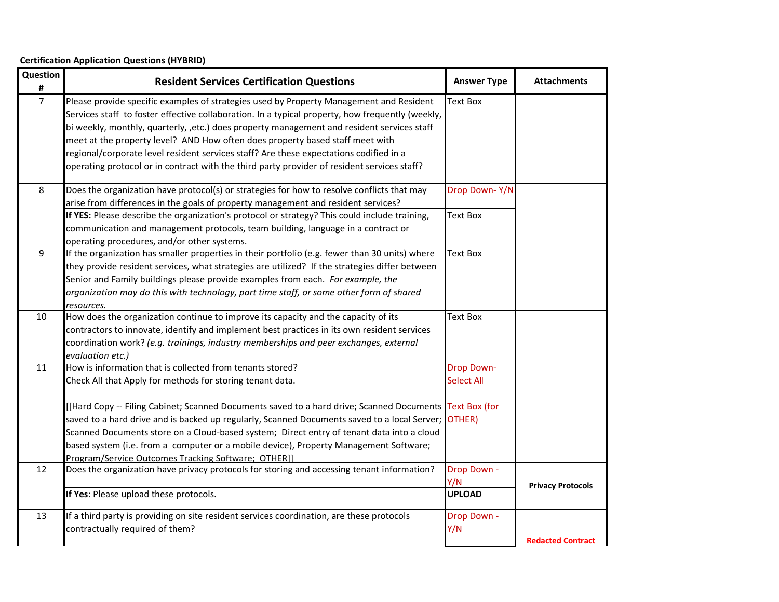| Question<br>#  | <b>Resident Services Certification Questions</b>                                                                                                                                                                                                                                                                                                                                                                                                                                                                                                                                      | <b>Answer Type</b>                     | <b>Attachments</b>       |
|----------------|---------------------------------------------------------------------------------------------------------------------------------------------------------------------------------------------------------------------------------------------------------------------------------------------------------------------------------------------------------------------------------------------------------------------------------------------------------------------------------------------------------------------------------------------------------------------------------------|----------------------------------------|--------------------------|
| $\overline{7}$ | Please provide specific examples of strategies used by Property Management and Resident<br>Services staff to foster effective collaboration. In a typical property, how frequently (weekly,<br>bi weekly, monthly, quarterly, ,etc.) does property management and resident services staff<br>meet at the property level? AND How often does property based staff meet with<br>regional/corporate level resident services staff? Are these expectations codified in a<br>operating protocol or in contract with the third party provider of resident services staff?                   | Text Box                               |                          |
| 8              | Does the organization have protocol(s) or strategies for how to resolve conflicts that may<br>arise from differences in the goals of property management and resident services?<br>If YES: Please describe the organization's protocol or strategy? This could include training,<br>communication and management protocols, team building, language in a contract or<br>operating procedures, and/or other systems.                                                                                                                                                                   | Drop Down-Y/N<br><b>Text Box</b>       |                          |
| 9              | If the organization has smaller properties in their portfolio (e.g. fewer than 30 units) where<br>they provide resident services, what strategies are utilized? If the strategies differ between<br>Senior and Family buildings please provide examples from each. For example, the<br>organization may do this with technology, part time staff, or some other form of shared<br>resources.                                                                                                                                                                                          | <b>Text Box</b>                        |                          |
| 10             | How does the organization continue to improve its capacity and the capacity of its<br>contractors to innovate, identify and implement best practices in its own resident services<br>coordination work? (e.g. trainings, industry memberships and peer exchanges, external<br>evaluation etc.)                                                                                                                                                                                                                                                                                        | <b>Text Box</b>                        |                          |
| 11             | How is information that is collected from tenants stored?<br>Check All that Apply for methods for storing tenant data.<br>[[Hard Copy -- Filing Cabinet; Scanned Documents saved to a hard drive; Scanned Documents Text Box (for<br>saved to a hard drive and is backed up regularly, Scanned Documents saved to a local Server; OTHER)<br>Scanned Documents store on a Cloud-based system; Direct entry of tenant data into a cloud<br>based system (i.e. from a computer or a mobile device), Property Management Software;<br>Program/Service Outcomes Tracking Software; OTHER]] | <b>Drop Down-</b><br><b>Select All</b> |                          |
| 12             | Does the organization have privacy protocols for storing and accessing tenant information?<br>If Yes: Please upload these protocols.                                                                                                                                                                                                                                                                                                                                                                                                                                                  | Drop Down -<br>Y/N<br><b>UPLOAD</b>    | <b>Privacy Protocols</b> |
| 13             | If a third party is providing on site resident services coordination, are these protocols<br>contractually required of them?                                                                                                                                                                                                                                                                                                                                                                                                                                                          | Drop Down -<br>Y/N                     | <b>Redacted Contract</b> |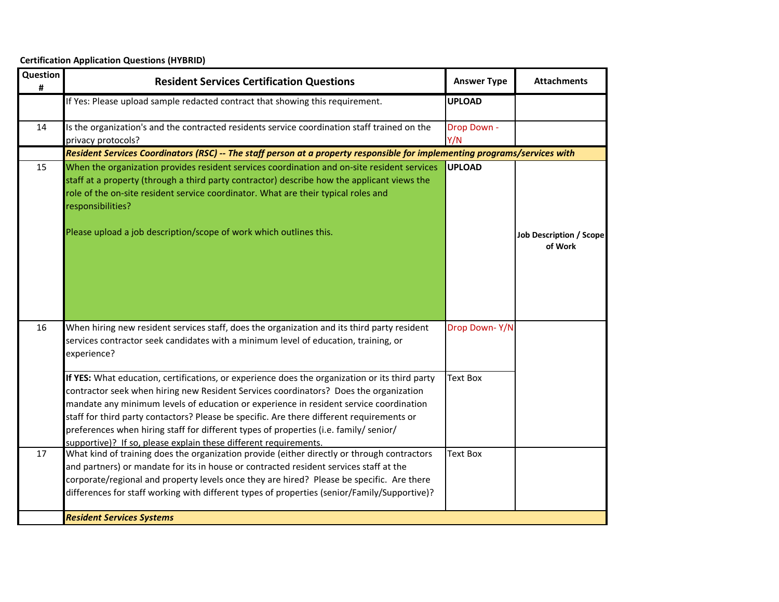| Question<br># | <b>Resident Services Certification Questions</b>                                                                                                                                                                                                                                                                                                                                                                                                                                                                                            | <b>Answer Type</b> | <b>Attachments</b>                        |
|---------------|---------------------------------------------------------------------------------------------------------------------------------------------------------------------------------------------------------------------------------------------------------------------------------------------------------------------------------------------------------------------------------------------------------------------------------------------------------------------------------------------------------------------------------------------|--------------------|-------------------------------------------|
|               | If Yes: Please upload sample redacted contract that showing this requirement.                                                                                                                                                                                                                                                                                                                                                                                                                                                               | <b>UPLOAD</b>      |                                           |
| 14            | Is the organization's and the contracted residents service coordination staff trained on the<br>privacy protocols?                                                                                                                                                                                                                                                                                                                                                                                                                          | Drop Down -<br>Y/N |                                           |
|               | Resident Services Coordinators (RSC) -- The staff person at a property responsible for implementing programs/services with                                                                                                                                                                                                                                                                                                                                                                                                                  |                    |                                           |
| 15            | When the organization provides resident services coordination and on-site resident services<br>staff at a property (through a third party contractor) describe how the applicant views the<br>role of the on-site resident service coordinator. What are their typical roles and<br>responsibilities?<br>Please upload a job description/scope of work which outlines this.                                                                                                                                                                 | <b>UPLOAD</b>      | <b>Job Description / Scope</b><br>of Work |
| 16            | When hiring new resident services staff, does the organization and its third party resident<br>services contractor seek candidates with a minimum level of education, training, or<br>experience?                                                                                                                                                                                                                                                                                                                                           | Drop Down-Y/N      |                                           |
|               | If YES: What education, certifications, or experience does the organization or its third party<br>contractor seek when hiring new Resident Services coordinators? Does the organization<br>mandate any minimum levels of education or experience in resident service coordination<br>staff for third party contactors? Please be specific. Are there different requirements or<br>preferences when hiring staff for different types of properties (i.e. family/ senior/<br>supportive)? If so, please explain these different requirements. | <b>Text Box</b>    |                                           |
| 17            | What kind of training does the organization provide (either directly or through contractors<br>and partners) or mandate for its in house or contracted resident services staff at the<br>corporate/regional and property levels once they are hired? Please be specific. Are there<br>differences for staff working with different types of properties (senior/Family/Supportive)?                                                                                                                                                          | <b>Text Box</b>    |                                           |
|               | <b>Resident Services Systems</b>                                                                                                                                                                                                                                                                                                                                                                                                                                                                                                            |                    |                                           |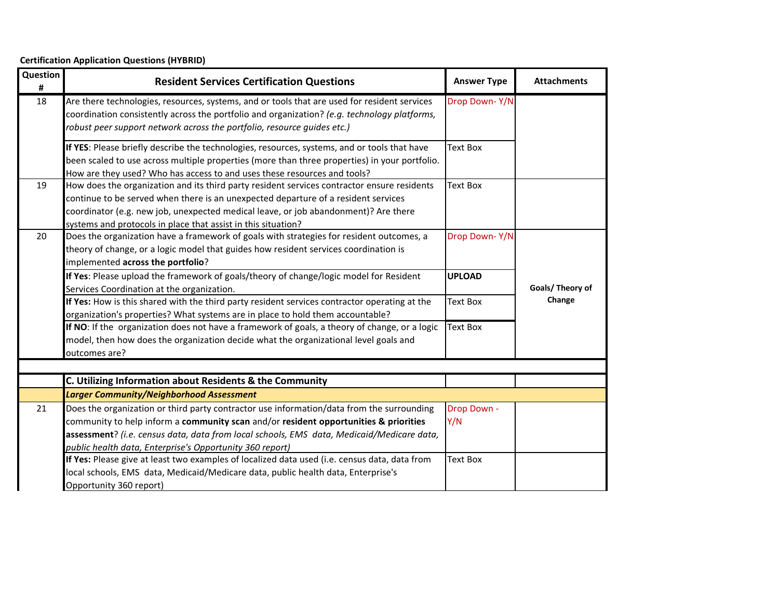| Question<br># | <b>Resident Services Certification Questions</b>                                                                                                                                                                                                                                                                                           | <b>Answer Type</b> | <b>Attachments</b> |
|---------------|--------------------------------------------------------------------------------------------------------------------------------------------------------------------------------------------------------------------------------------------------------------------------------------------------------------------------------------------|--------------------|--------------------|
| 18            | Are there technologies, resources, systems, and or tools that are used for resident services<br>coordination consistently across the portfolio and organization? (e.g. technology platforms,<br>robust peer support network across the portfolio, resource guides etc.)                                                                    | Drop Down-Y/N      |                    |
|               | If YES: Please briefly describe the technologies, resources, systems, and or tools that have<br>been scaled to use across multiple properties (more than three properties) in your portfolio.<br>How are they used? Who has access to and uses these resources and tools?                                                                  | Text Box           |                    |
| 19            | How does the organization and its third party resident services contractor ensure residents<br>continue to be served when there is an unexpected departure of a resident services<br>coordinator (e.g. new job, unexpected medical leave, or job abandonment)? Are there<br>systems and protocols in place that assist in this situation?  | <b>Text Box</b>    |                    |
| 20            | Does the organization have a framework of goals with strategies for resident outcomes, a<br>theory of change, or a logic model that guides how resident services coordination is<br>implemented across the portfolio?                                                                                                                      | Drop Down-Y/N      |                    |
|               | If Yes: Please upload the framework of goals/theory of change/logic model for Resident<br>Services Coordination at the organization.                                                                                                                                                                                                       | <b>UPLOAD</b>      | Goals/ Theory of   |
|               | If Yes: How is this shared with the third party resident services contractor operating at the<br>organization's properties? What systems are in place to hold them accountable?                                                                                                                                                            | <b>Text Box</b>    | Change             |
|               | If NO: If the organization does not have a framework of goals, a theory of change, or a logic<br>model, then how does the organization decide what the organizational level goals and<br>outcomes are?                                                                                                                                     | <b>Text Box</b>    |                    |
|               |                                                                                                                                                                                                                                                                                                                                            |                    |                    |
|               | C. Utilizing Information about Residents & the Community                                                                                                                                                                                                                                                                                   |                    |                    |
|               | <b>Larger Community/Neighborhood Assessment</b>                                                                                                                                                                                                                                                                                            |                    |                    |
| 21            | Does the organization or third party contractor use information/data from the surrounding<br>community to help inform a community scan and/or resident opportunities & priorities<br>assessment? (i.e. census data, data from local schools, EMS data, Medicaid/Medicare data,<br>public health data, Enterprise's Opportunity 360 report) | Drop Down -<br>Y/N |                    |
|               | If Yes: Please give at least two examples of localized data used (i.e. census data, data from<br>local schools, EMS data, Medicaid/Medicare data, public health data, Enterprise's<br>Opportunity 360 report)                                                                                                                              | Text Box           |                    |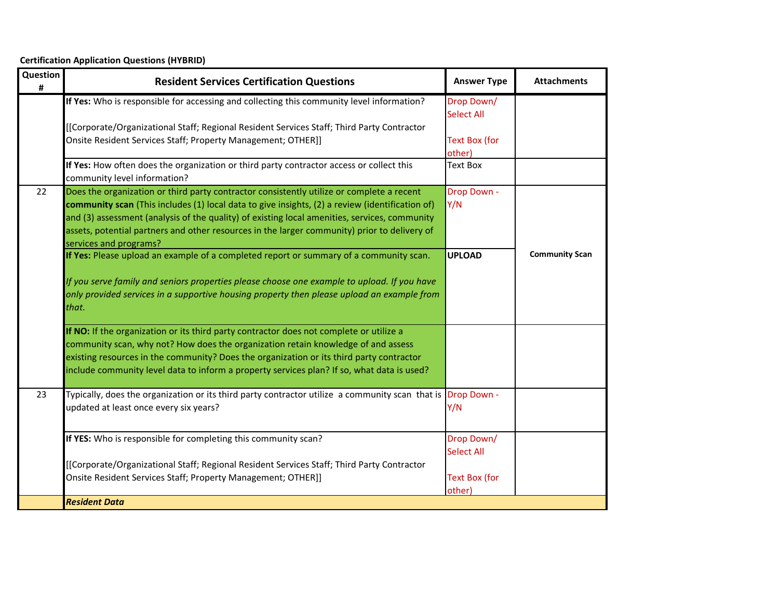**Certification Application Questions (HYBRID)**

| Question<br># | <b>Resident Services Certification Questions</b>                                                                                                                                                                                                                                                                                                                                                                        | <b>Answer Type</b>                                                | <b>Attachments</b>    |
|---------------|-------------------------------------------------------------------------------------------------------------------------------------------------------------------------------------------------------------------------------------------------------------------------------------------------------------------------------------------------------------------------------------------------------------------------|-------------------------------------------------------------------|-----------------------|
|               | If Yes: Who is responsible for accessing and collecting this community level information?                                                                                                                                                                                                                                                                                                                               | Drop Down/<br><b>Select All</b>                                   |                       |
|               | [[Corporate/Organizational Staff; Regional Resident Services Staff; Third Party Contractor<br>Onsite Resident Services Staff; Property Management; OTHER]]                                                                                                                                                                                                                                                              | <b>Text Box (for</b><br>other)                                    |                       |
|               | If Yes: How often does the organization or third party contractor access or collect this<br>community level information?                                                                                                                                                                                                                                                                                                | <b>Text Box</b>                                                   |                       |
| 22            | Does the organization or third party contractor consistently utilize or complete a recent<br>community scan (This includes (1) local data to give insights, (2) a review (identification of)<br>and (3) assessment (analysis of the quality) of existing local amenities, services, community<br>assets, potential partners and other resources in the larger community) prior to delivery of<br>services and programs? | Drop Down -<br>Y/N                                                |                       |
|               | If Yes: Please upload an example of a completed report or summary of a community scan.<br>If you serve family and seniors properties please choose one example to upload. If you have<br>only provided services in a supportive housing property then please upload an example from<br>that.                                                                                                                            | <b>UPLOAD</b>                                                     | <b>Community Scan</b> |
|               | If NO: If the organization or its third party contractor does not complete or utilize a<br>community scan, why not? How does the organization retain knowledge of and assess<br>existing resources in the community? Does the organization or its third party contractor<br>include community level data to inform a property services plan? If so, what data is used?                                                  |                                                                   |                       |
| 23            | Typically, does the organization or its third party contractor utilize a community scan that is<br>updated at least once every six years?                                                                                                                                                                                                                                                                               | Drop Down -<br>Y/N                                                |                       |
|               | If YES: Who is responsible for completing this community scan?<br>[[Corporate/Organizational Staff; Regional Resident Services Staff; Third Party Contractor<br>Onsite Resident Services Staff; Property Management; OTHER]]                                                                                                                                                                                            | Drop Down/<br><b>Select All</b><br><b>Text Box (for</b><br>other) |                       |
|               | <b>Resident Data</b>                                                                                                                                                                                                                                                                                                                                                                                                    |                                                                   |                       |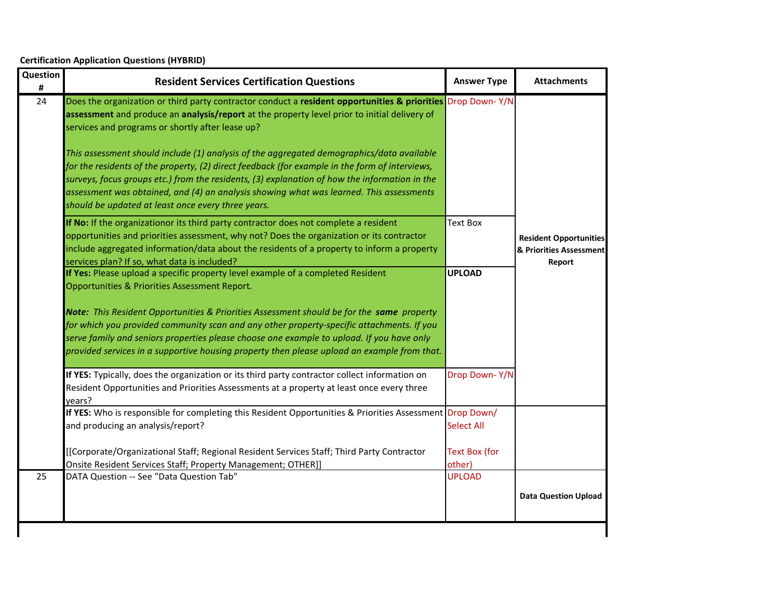| 24<br>Does the organization or third party contractor conduct a resident opportunities & priorities Drop Down-Y/N<br>assessment and produce an analysis/report at the property level prior to initial delivery of<br>services and programs or shortly after lease up?<br>This assessment should include (1) analysis of the aggregated demographics/data available<br>for the residents of the property, (2) direct feedback (for example in the form of interviews,<br>surveys, focus groups etc.) from the residents, (3) explanation of how the information in the<br>assessment was obtained, and (4) an analysis showing what was learned. This assessments<br>should be updated at least once every three years.<br><b>Text Box</b><br>If No: If the organizationor its third party contractor does not complete a resident<br>opportunities and priorities assessment, why not? Does the organization or its contractor<br>include aggregated information/data about the residents of a property to inform a property<br>services plan? If so, what data is included?<br>Report<br>If Yes: Please upload a specific property level example of a completed Resident<br><b>UPLOAD</b><br>Opportunities & Priorities Assessment Report.<br>Note: This Resident Opportunities & Priorities Assessment should be for the same property<br>for which you provided community scan and any other property-specific attachments. If you<br>serve family and seniors properties please choose one example to upload. If you have only<br>provided services in a supportive housing property then please upload an example from that.<br>If YES: Typically, does the organization or its third party contractor collect information on<br>Drop Down-Y/N<br>Resident Opportunities and Priorities Assessments at a property at least once every three<br>years?<br>If YES: Who is responsible for completing this Resident Opportunities & Priorities Assessment Drop Down/<br>and producing an analysis/report?<br><b>Select All</b><br>[[Corporate/Organizational Staff; Regional Resident Services Staff; Third Party Contractor<br><b>Text Box (for</b><br>Onsite Resident Services Staff; Property Management; OTHER]]<br>other)<br>25<br>DATA Question -- See "Data Question Tab"<br><b>UPLOAD</b> | Question<br># | <b>Resident Services Certification Questions</b> | <b>Answer Type</b> | <b>Attachments</b>                                       |
|-----------------------------------------------------------------------------------------------------------------------------------------------------------------------------------------------------------------------------------------------------------------------------------------------------------------------------------------------------------------------------------------------------------------------------------------------------------------------------------------------------------------------------------------------------------------------------------------------------------------------------------------------------------------------------------------------------------------------------------------------------------------------------------------------------------------------------------------------------------------------------------------------------------------------------------------------------------------------------------------------------------------------------------------------------------------------------------------------------------------------------------------------------------------------------------------------------------------------------------------------------------------------------------------------------------------------------------------------------------------------------------------------------------------------------------------------------------------------------------------------------------------------------------------------------------------------------------------------------------------------------------------------------------------------------------------------------------------------------------------------------------------------------------------------------------------------------------------------------------------------------------------------------------------------------------------------------------------------------------------------------------------------------------------------------------------------------------------------------------------------------------------------------------------------------------------------------------------------------------------------------------------------------------------------------|---------------|--------------------------------------------------|--------------------|----------------------------------------------------------|
|                                                                                                                                                                                                                                                                                                                                                                                                                                                                                                                                                                                                                                                                                                                                                                                                                                                                                                                                                                                                                                                                                                                                                                                                                                                                                                                                                                                                                                                                                                                                                                                                                                                                                                                                                                                                                                                                                                                                                                                                                                                                                                                                                                                                                                                                                                     |               |                                                  |                    |                                                          |
|                                                                                                                                                                                                                                                                                                                                                                                                                                                                                                                                                                                                                                                                                                                                                                                                                                                                                                                                                                                                                                                                                                                                                                                                                                                                                                                                                                                                                                                                                                                                                                                                                                                                                                                                                                                                                                                                                                                                                                                                                                                                                                                                                                                                                                                                                                     |               |                                                  |                    | <b>Resident Opportunities</b><br>& Priorities Assessment |
|                                                                                                                                                                                                                                                                                                                                                                                                                                                                                                                                                                                                                                                                                                                                                                                                                                                                                                                                                                                                                                                                                                                                                                                                                                                                                                                                                                                                                                                                                                                                                                                                                                                                                                                                                                                                                                                                                                                                                                                                                                                                                                                                                                                                                                                                                                     |               |                                                  |                    |                                                          |
|                                                                                                                                                                                                                                                                                                                                                                                                                                                                                                                                                                                                                                                                                                                                                                                                                                                                                                                                                                                                                                                                                                                                                                                                                                                                                                                                                                                                                                                                                                                                                                                                                                                                                                                                                                                                                                                                                                                                                                                                                                                                                                                                                                                                                                                                                                     |               |                                                  |                    |                                                          |
|                                                                                                                                                                                                                                                                                                                                                                                                                                                                                                                                                                                                                                                                                                                                                                                                                                                                                                                                                                                                                                                                                                                                                                                                                                                                                                                                                                                                                                                                                                                                                                                                                                                                                                                                                                                                                                                                                                                                                                                                                                                                                                                                                                                                                                                                                                     |               |                                                  |                    |                                                          |
|                                                                                                                                                                                                                                                                                                                                                                                                                                                                                                                                                                                                                                                                                                                                                                                                                                                                                                                                                                                                                                                                                                                                                                                                                                                                                                                                                                                                                                                                                                                                                                                                                                                                                                                                                                                                                                                                                                                                                                                                                                                                                                                                                                                                                                                                                                     |               |                                                  |                    |                                                          |
|                                                                                                                                                                                                                                                                                                                                                                                                                                                                                                                                                                                                                                                                                                                                                                                                                                                                                                                                                                                                                                                                                                                                                                                                                                                                                                                                                                                                                                                                                                                                                                                                                                                                                                                                                                                                                                                                                                                                                                                                                                                                                                                                                                                                                                                                                                     |               |                                                  |                    | <b>Data Question Upload</b>                              |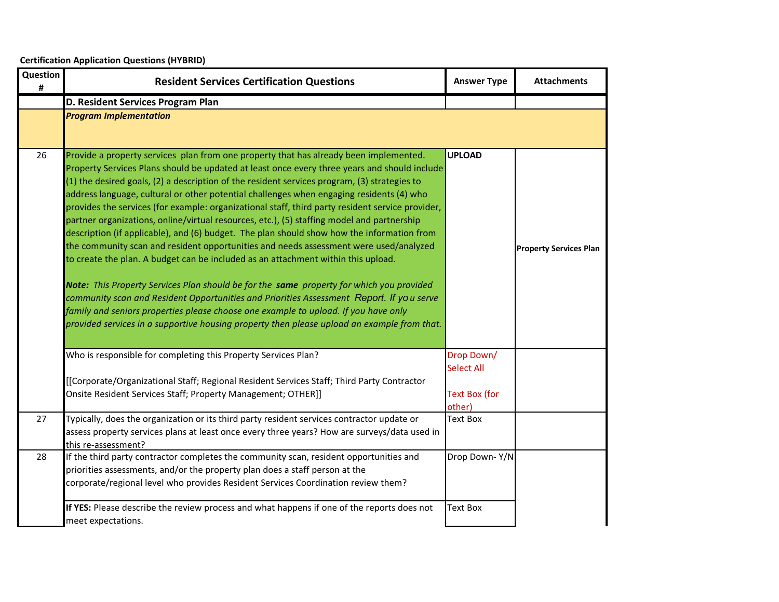| Question<br># | <b>Resident Services Certification Questions</b>                                                                                                                                                                                                                                                                                                                                                                                                                                                                                                                                                                                                                                                                                                                                                                                                                                                                                                                                                                                                                                                                                                                                                                                              | <b>Answer Type</b>                                                | <b>Attachments</b>            |
|---------------|-----------------------------------------------------------------------------------------------------------------------------------------------------------------------------------------------------------------------------------------------------------------------------------------------------------------------------------------------------------------------------------------------------------------------------------------------------------------------------------------------------------------------------------------------------------------------------------------------------------------------------------------------------------------------------------------------------------------------------------------------------------------------------------------------------------------------------------------------------------------------------------------------------------------------------------------------------------------------------------------------------------------------------------------------------------------------------------------------------------------------------------------------------------------------------------------------------------------------------------------------|-------------------------------------------------------------------|-------------------------------|
|               | D. Resident Services Program Plan                                                                                                                                                                                                                                                                                                                                                                                                                                                                                                                                                                                                                                                                                                                                                                                                                                                                                                                                                                                                                                                                                                                                                                                                             |                                                                   |                               |
|               | <b>Program Implementation</b>                                                                                                                                                                                                                                                                                                                                                                                                                                                                                                                                                                                                                                                                                                                                                                                                                                                                                                                                                                                                                                                                                                                                                                                                                 |                                                                   |                               |
| 26            | Provide a property services plan from one property that has already been implemented.<br>Property Services Plans should be updated at least once every three years and should include<br>(1) the desired goals, (2) a description of the resident services program, (3) strategies to<br>address language, cultural or other potential challenges when engaging residents (4) who<br>provides the services (for example: organizational staff, third party resident service provider,<br>partner organizations, online/virtual resources, etc.), (5) staffing model and partnership<br>description (if applicable), and (6) budget. The plan should show how the information from<br>the community scan and resident opportunities and needs assessment were used/analyzed<br>to create the plan. A budget can be included as an attachment within this upload.<br>Note: This Property Services Plan should be for the same property for which you provided<br>community scan and Resident Opportunities and Priorities Assessment Report. If you serve<br>family and seniors properties please choose one example to upload. If you have only<br>provided services in a supportive housing property then please upload an example from that. | <b>UPLOAD</b>                                                     | <b>Property Services Plan</b> |
|               | Who is responsible for completing this Property Services Plan?<br>[[Corporate/Organizational Staff; Regional Resident Services Staff; Third Party Contractor<br>Onsite Resident Services Staff; Property Management; OTHER]]                                                                                                                                                                                                                                                                                                                                                                                                                                                                                                                                                                                                                                                                                                                                                                                                                                                                                                                                                                                                                  | Drop Down/<br><b>Select All</b><br><b>Text Box (for</b><br>other) |                               |
| 27            | Typically, does the organization or its third party resident services contractor update or<br>assess property services plans at least once every three years? How are surveys/data used in<br>this re-assessment?                                                                                                                                                                                                                                                                                                                                                                                                                                                                                                                                                                                                                                                                                                                                                                                                                                                                                                                                                                                                                             | <b>Text Box</b>                                                   |                               |
| 28            | If the third party contractor completes the community scan, resident opportunities and<br>priorities assessments, and/or the property plan does a staff person at the<br>corporate/regional level who provides Resident Services Coordination review them?                                                                                                                                                                                                                                                                                                                                                                                                                                                                                                                                                                                                                                                                                                                                                                                                                                                                                                                                                                                    | Drop Down-Y/N                                                     |                               |
|               | If YES: Please describe the review process and what happens if one of the reports does not<br>meet expectations.                                                                                                                                                                                                                                                                                                                                                                                                                                                                                                                                                                                                                                                                                                                                                                                                                                                                                                                                                                                                                                                                                                                              | <b>Text Box</b>                                                   |                               |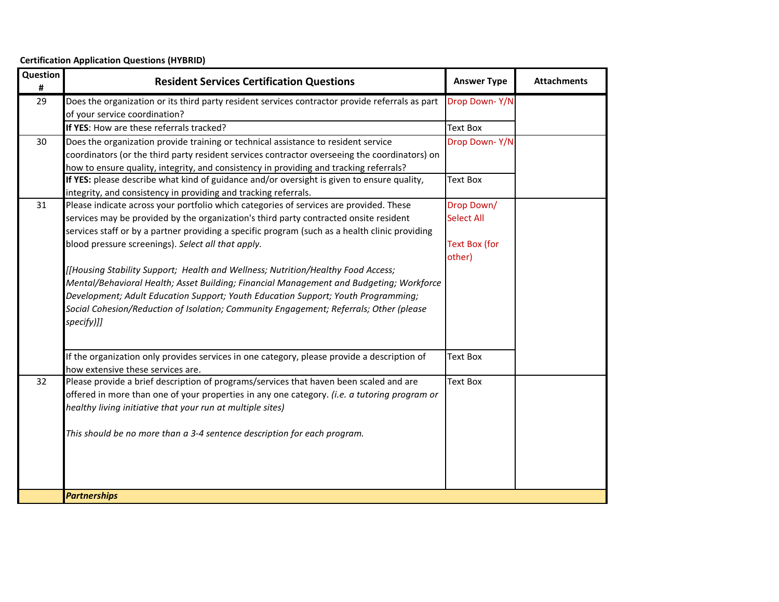| Question<br># | <b>Resident Services Certification Questions</b>                                                                                                     | <b>Answer Type</b>   | <b>Attachments</b> |
|---------------|------------------------------------------------------------------------------------------------------------------------------------------------------|----------------------|--------------------|
| 29            | Does the organization or its third party resident services contractor provide referrals as part                                                      | Drop Down-Y/N        |                    |
|               | of your service coordination?                                                                                                                        |                      |                    |
|               | If YES: How are these referrals tracked?                                                                                                             | <b>Text Box</b>      |                    |
| 30            | Does the organization provide training or technical assistance to resident service                                                                   | Drop Down-Y/N        |                    |
|               | coordinators (or the third party resident services contractor overseeing the coordinators) on                                                        |                      |                    |
|               | how to ensure quality, integrity, and consistency in providing and tracking referrals?                                                               |                      |                    |
|               | If YES: please describe what kind of guidance and/or oversight is given to ensure quality,                                                           | <b>Text Box</b>      |                    |
|               | integrity, and consistency in providing and tracking referrals.                                                                                      |                      |                    |
| 31            | Please indicate across your portfolio which categories of services are provided. These                                                               | Drop Down/           |                    |
|               | services may be provided by the organization's third party contracted onsite resident                                                                | <b>Select All</b>    |                    |
|               | services staff or by a partner providing a specific program (such as a health clinic providing<br>blood pressure screenings). Select all that apply. | <b>Text Box (for</b> |                    |
|               |                                                                                                                                                      | other)               |                    |
|               | [[Housing Stability Support; Health and Wellness; Nutrition/Healthy Food Access;                                                                     |                      |                    |
|               | Mental/Behavioral Health; Asset Building; Financial Management and Budgeting; Workforce                                                              |                      |                    |
|               | Development; Adult Education Support; Youth Education Support; Youth Programming;                                                                    |                      |                    |
|               | Social Cohesion/Reduction of Isolation; Community Engagement; Referrals; Other (please                                                               |                      |                    |
|               | specify)]]                                                                                                                                           |                      |                    |
|               |                                                                                                                                                      |                      |                    |
|               |                                                                                                                                                      |                      |                    |
|               | If the organization only provides services in one category, please provide a description of                                                          | <b>Text Box</b>      |                    |
| 32            | how extensive these services are.<br>Please provide a brief description of programs/services that haven been scaled and are                          | <b>Text Box</b>      |                    |
|               | offered in more than one of your properties in any one category. (i.e. a tutoring program or                                                         |                      |                    |
|               | healthy living initiative that your run at multiple sites)                                                                                           |                      |                    |
|               |                                                                                                                                                      |                      |                    |
|               | This should be no more than a 3-4 sentence description for each program.                                                                             |                      |                    |
|               |                                                                                                                                                      |                      |                    |
|               |                                                                                                                                                      |                      |                    |
|               |                                                                                                                                                      |                      |                    |
|               |                                                                                                                                                      |                      |                    |
|               | <b>Partnerships</b>                                                                                                                                  |                      |                    |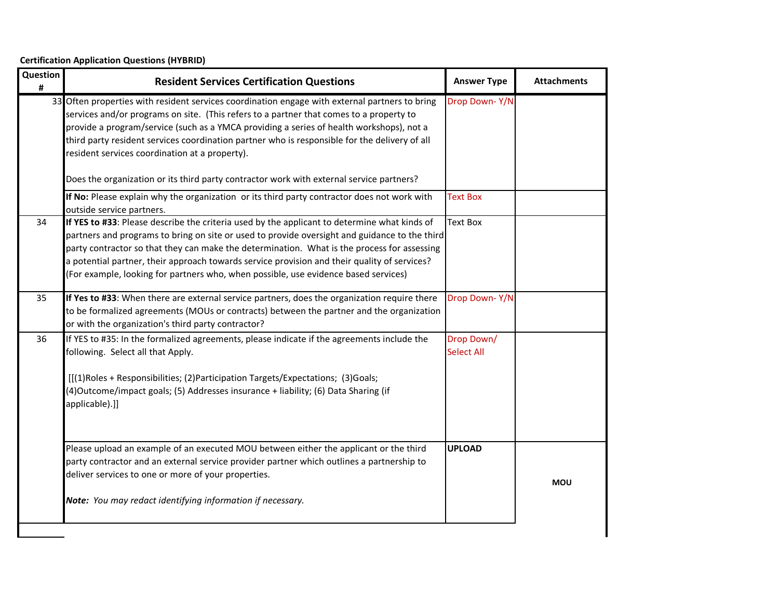| Question<br># | <b>Resident Services Certification Questions</b>                                                                                                                                                                                                                                                                                                                                                                                                                                    | <b>Answer Type</b>              | <b>Attachments</b> |
|---------------|-------------------------------------------------------------------------------------------------------------------------------------------------------------------------------------------------------------------------------------------------------------------------------------------------------------------------------------------------------------------------------------------------------------------------------------------------------------------------------------|---------------------------------|--------------------|
|               | 33 Often properties with resident services coordination engage with external partners to bring<br>services and/or programs on site. (This refers to a partner that comes to a property to<br>provide a program/service (such as a YMCA providing a series of health workshops), not a<br>third party resident services coordination partner who is responsible for the delivery of all<br>resident services coordination at a property).                                            | Drop Down-Y/N                   |                    |
|               | Does the organization or its third party contractor work with external service partners?                                                                                                                                                                                                                                                                                                                                                                                            |                                 |                    |
|               | If No: Please explain why the organization or its third party contractor does not work with<br>outside service partners.                                                                                                                                                                                                                                                                                                                                                            | <b>Text Box</b>                 |                    |
| 34            | If YES to #33: Please describe the criteria used by the applicant to determine what kinds of<br>partners and programs to bring on site or used to provide oversight and guidance to the third<br>party contractor so that they can make the determination. What is the process for assessing<br>a potential partner, their approach towards service provision and their quality of services?<br>(For example, looking for partners who, when possible, use evidence based services) | <b>Text Box</b>                 |                    |
| 35            | If Yes to #33: When there are external service partners, does the organization require there<br>to be formalized agreements (MOUs or contracts) between the partner and the organization<br>or with the organization's third party contractor?                                                                                                                                                                                                                                      | Drop Down-Y/N                   |                    |
| 36            | If YES to #35: In the formalized agreements, please indicate if the agreements include the<br>following. Select all that Apply.<br>[[(1)Roles + Responsibilities; (2)Participation Targets/Expectations; (3)Goals;<br>(4)Outcome/impact goals; (5) Addresses insurance + liability; (6) Data Sharing (if<br>applicable).]]                                                                                                                                                          | Drop Down/<br><b>Select All</b> |                    |
|               | Please upload an example of an executed MOU between either the applicant or the third<br>party contractor and an external service provider partner which outlines a partnership to<br>deliver services to one or more of your properties.                                                                                                                                                                                                                                           | <b>UPLOAD</b>                   | <b>MOU</b>         |
|               | Note: You may redact identifying information if necessary.                                                                                                                                                                                                                                                                                                                                                                                                                          |                                 |                    |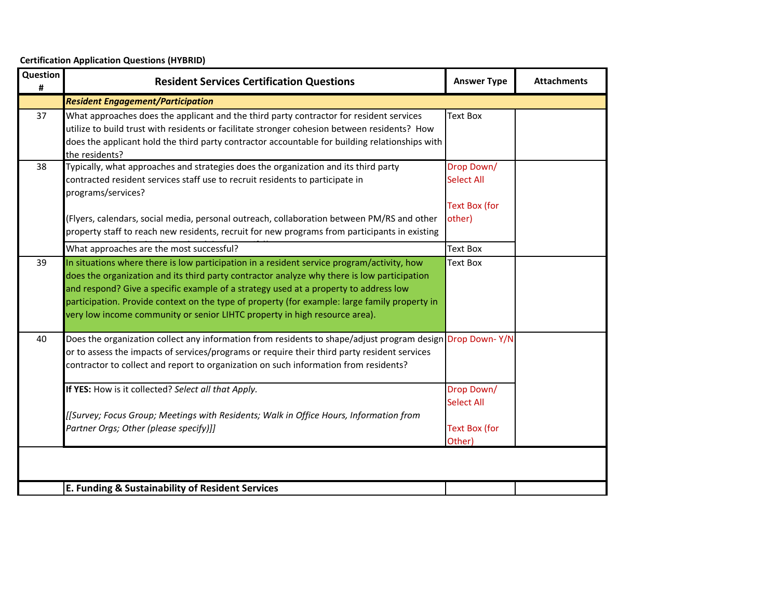| Question<br># | <b>Resident Services Certification Questions</b>                                                                                                                                                                                                                                                                                                                                                                                                                 | <b>Answer Type</b>                                                | <b>Attachments</b> |
|---------------|------------------------------------------------------------------------------------------------------------------------------------------------------------------------------------------------------------------------------------------------------------------------------------------------------------------------------------------------------------------------------------------------------------------------------------------------------------------|-------------------------------------------------------------------|--------------------|
|               | <b>Resident Engagement/Participation</b>                                                                                                                                                                                                                                                                                                                                                                                                                         |                                                                   |                    |
| 37            | What approaches does the applicant and the third party contractor for resident services<br>utilize to build trust with residents or facilitate stronger cohesion between residents? How<br>does the applicant hold the third party contractor accountable for building relationships with<br>the residents?                                                                                                                                                      | <b>Text Box</b>                                                   |                    |
| 38            | Typically, what approaches and strategies does the organization and its third party<br>contracted resident services staff use to recruit residents to participate in<br>programs/services?<br>(Flyers, calendars, social media, personal outreach, collaboration between PM/RS and other<br>property staff to reach new residents, recruit for new programs from participants in existing                                                                        | Drop Down/<br><b>Select All</b><br><b>Text Box (for</b><br>other) |                    |
|               | What approaches are the most successful?                                                                                                                                                                                                                                                                                                                                                                                                                         | <b>Text Box</b>                                                   |                    |
| 39            | In situations where there is low participation in a resident service program/activity, how<br>does the organization and its third party contractor analyze why there is low participation<br>and respond? Give a specific example of a strategy used at a property to address low<br>participation. Provide context on the type of property (for example: large family property in<br>very low income community or senior LIHTC property in high resource area). | <b>Text Box</b>                                                   |                    |
| 40            | Does the organization collect any information from residents to shape/adjust program design Drop Down-Y/N<br>or to assess the impacts of services/programs or require their third party resident services<br>contractor to collect and report to organization on such information from residents?                                                                                                                                                                |                                                                   |                    |
|               | If YES: How is it collected? Select all that Apply.<br>[[Survey; Focus Group; Meetings with Residents; Walk in Office Hours, Information from<br>Partner Orgs; Other (please specify)]]                                                                                                                                                                                                                                                                          | Drop Down/<br><b>Select All</b><br><b>Text Box (for</b><br>Other) |                    |
|               |                                                                                                                                                                                                                                                                                                                                                                                                                                                                  |                                                                   |                    |
|               | E. Funding & Sustainability of Resident Services                                                                                                                                                                                                                                                                                                                                                                                                                 |                                                                   |                    |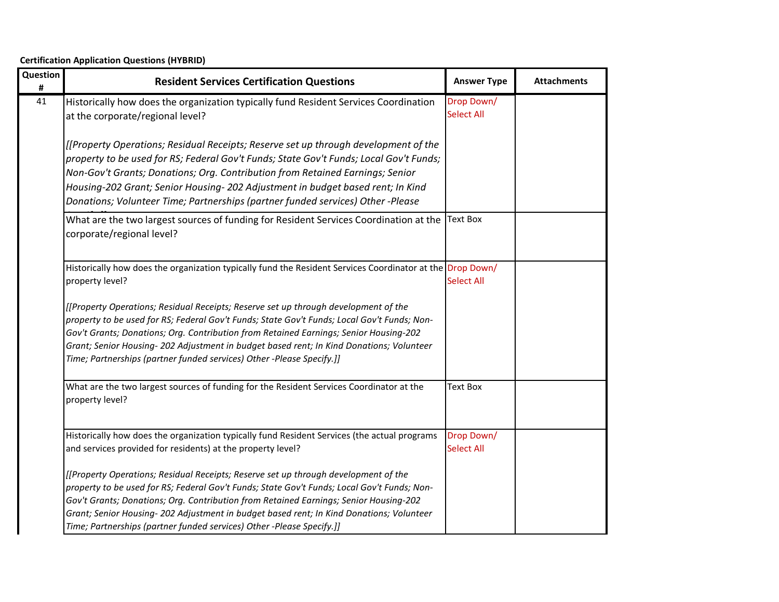| Question<br># | <b>Resident Services Certification Questions</b>                                                                                                                                                                                                                                                                                                                                                                                                 | <b>Answer Type</b>              | <b>Attachments</b> |
|---------------|--------------------------------------------------------------------------------------------------------------------------------------------------------------------------------------------------------------------------------------------------------------------------------------------------------------------------------------------------------------------------------------------------------------------------------------------------|---------------------------------|--------------------|
| 41            | Historically how does the organization typically fund Resident Services Coordination<br>at the corporate/regional level?                                                                                                                                                                                                                                                                                                                         | Drop Down/<br><b>Select All</b> |                    |
|               | [[Property Operations; Residual Receipts; Reserve set up through development of the<br>property to be used for RS; Federal Gov't Funds; State Gov't Funds; Local Gov't Funds;<br>Non-Gov't Grants; Donations; Org. Contribution from Retained Earnings; Senior<br>Housing-202 Grant; Senior Housing- 202 Adjustment in budget based rent; In Kind<br>Donations; Volunteer Time; Partnerships (partner funded services) Other -Please             |                                 |                    |
|               | What are the two largest sources of funding for Resident Services Coordination at the<br>corporate/regional level?                                                                                                                                                                                                                                                                                                                               | <b>Text Box</b>                 |                    |
|               | Historically how does the organization typically fund the Resident Services Coordinator at the Drop Down/<br>property level?                                                                                                                                                                                                                                                                                                                     | <b>Select All</b>               |                    |
|               | [[Property Operations; Residual Receipts; Reserve set up through development of the<br>property to be used for RS; Federal Gov't Funds; State Gov't Funds; Local Gov't Funds; Non-<br>Gov't Grants; Donations; Org. Contribution from Retained Earnings; Senior Housing-202<br>Grant; Senior Housing- 202 Adjustment in budget based rent; In Kind Donations; Volunteer<br>Time; Partnerships (partner funded services) Other -Please Specify.]] |                                 |                    |
|               | What are the two largest sources of funding for the Resident Services Coordinator at the<br>property level?                                                                                                                                                                                                                                                                                                                                      | <b>Text Box</b>                 |                    |
|               | Historically how does the organization typically fund Resident Services (the actual programs<br>and services provided for residents) at the property level?                                                                                                                                                                                                                                                                                      | Drop Down/<br><b>Select All</b> |                    |
|               | [[Property Operations; Residual Receipts; Reserve set up through development of the<br>property to be used for RS; Federal Gov't Funds; State Gov't Funds; Local Gov't Funds; Non-<br>Gov't Grants; Donations; Org. Contribution from Retained Earnings; Senior Housing-202<br>Grant; Senior Housing- 202 Adjustment in budget based rent; In Kind Donations; Volunteer<br>Time; Partnerships (partner funded services) Other -Please Specify.]] |                                 |                    |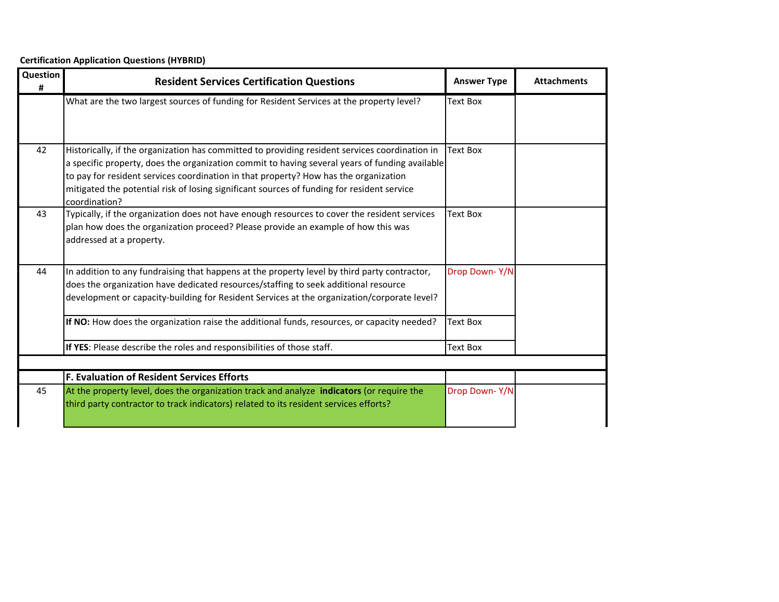**Certification Application Questions (HYBRID)**

| Question<br># | <b>Resident Services Certification Questions</b>                                                                                                                                                                                                                                                                                                                                                        | <b>Answer Type</b> | <b>Attachments</b> |
|---------------|---------------------------------------------------------------------------------------------------------------------------------------------------------------------------------------------------------------------------------------------------------------------------------------------------------------------------------------------------------------------------------------------------------|--------------------|--------------------|
|               | What are the two largest sources of funding for Resident Services at the property level?                                                                                                                                                                                                                                                                                                                | <b>Text Box</b>    |                    |
| 42            | Historically, if the organization has committed to providing resident services coordination in<br>a specific property, does the organization commit to having several years of funding available<br>to pay for resident services coordination in that property? How has the organization<br>mitigated the potential risk of losing significant sources of funding for resident service<br>coordination? | <b>Text Box</b>    |                    |
| 43            | Typically, if the organization does not have enough resources to cover the resident services<br>plan how does the organization proceed? Please provide an example of how this was<br>addressed at a property.                                                                                                                                                                                           | <b>Text Box</b>    |                    |
| 44            | In addition to any fundraising that happens at the property level by third party contractor,<br>does the organization have dedicated resources/staffing to seek additional resource<br>development or capacity-building for Resident Services at the organization/corporate level?                                                                                                                      | Drop Down-Y/N      |                    |
|               | If NO: How does the organization raise the additional funds, resources, or capacity needed?                                                                                                                                                                                                                                                                                                             | <b>Text Box</b>    |                    |
|               | If YES: Please describe the roles and responsibilities of those staff.                                                                                                                                                                                                                                                                                                                                  | <b>Text Box</b>    |                    |
|               |                                                                                                                                                                                                                                                                                                                                                                                                         |                    |                    |
|               | <b>F. Evaluation of Resident Services Efforts</b>                                                                                                                                                                                                                                                                                                                                                       |                    |                    |
| 45            | At the property level, does the organization track and analyze indicators (or require the<br>third party contractor to track indicators) related to its resident services efforts?                                                                                                                                                                                                                      | Drop Down-Y/N      |                    |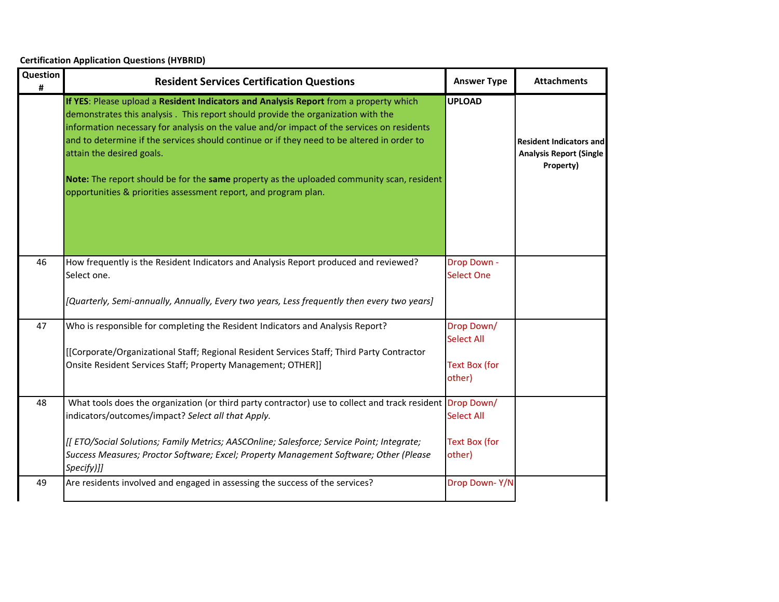| Question<br># | <b>Resident Services Certification Questions</b>                                                                                                                                                                                                                                                                                                                                                                                                                                                                                                                   | <b>Answer Type</b>               | <b>Attachments</b>                                                            |
|---------------|--------------------------------------------------------------------------------------------------------------------------------------------------------------------------------------------------------------------------------------------------------------------------------------------------------------------------------------------------------------------------------------------------------------------------------------------------------------------------------------------------------------------------------------------------------------------|----------------------------------|-------------------------------------------------------------------------------|
|               | If YES: Please upload a Resident Indicators and Analysis Report from a property which<br>demonstrates this analysis. This report should provide the organization with the<br>information necessary for analysis on the value and/or impact of the services on residents<br>and to determine if the services should continue or if they need to be altered in order to<br>attain the desired goals.<br>Note: The report should be for the same property as the uploaded community scan, resident<br>opportunities & priorities assessment report, and program plan. | <b>UPLOAD</b>                    | <b>Resident Indicators and</b><br><b>Analysis Report (Single</b><br>Property) |
| 46            | How frequently is the Resident Indicators and Analysis Report produced and reviewed?<br>Select one.                                                                                                                                                                                                                                                                                                                                                                                                                                                                | Drop Down -<br><b>Select One</b> |                                                                               |
|               | [Quarterly, Semi-annually, Annually, Every two years, Less frequently then every two years]                                                                                                                                                                                                                                                                                                                                                                                                                                                                        |                                  |                                                                               |
| 47            | Who is responsible for completing the Resident Indicators and Analysis Report?                                                                                                                                                                                                                                                                                                                                                                                                                                                                                     | Drop Down/<br><b>Select All</b>  |                                                                               |
|               | [[Corporate/Organizational Staff; Regional Resident Services Staff; Third Party Contractor<br>Onsite Resident Services Staff; Property Management; OTHER]]                                                                                                                                                                                                                                                                                                                                                                                                         | <b>Text Box (for</b><br>other)   |                                                                               |
| 48            | What tools does the organization (or third party contractor) use to collect and track resident Drop Down/<br>indicators/outcomes/impact? Select all that Apply.                                                                                                                                                                                                                                                                                                                                                                                                    | <b>Select All</b>                |                                                                               |
|               | [[ETO/Social Solutions; Family Metrics; AASCOnline; Salesforce; Service Point; Integrate;<br>Success Measures; Proctor Software; Excel; Property Management Software; Other (Please<br>Specify)]]                                                                                                                                                                                                                                                                                                                                                                  | Text Box (for<br>other)          |                                                                               |
| 49            | Are residents involved and engaged in assessing the success of the services?                                                                                                                                                                                                                                                                                                                                                                                                                                                                                       | Drop Down-Y/N                    |                                                                               |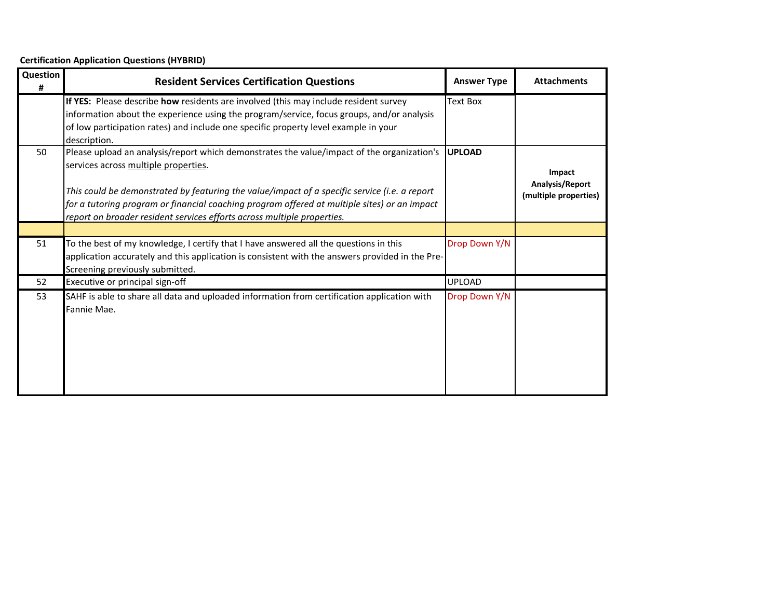| Question<br># | <b>Resident Services Certification Questions</b>                                                                                                                                                                                                                                                                                                                                                                | <b>Answer Type</b> | <b>Attachments</b>                                 |
|---------------|-----------------------------------------------------------------------------------------------------------------------------------------------------------------------------------------------------------------------------------------------------------------------------------------------------------------------------------------------------------------------------------------------------------------|--------------------|----------------------------------------------------|
|               | If YES: Please describe how residents are involved (this may include resident survey<br>information about the experience using the program/service, focus groups, and/or analysis<br>of low participation rates) and include one specific property level example in your<br>description.                                                                                                                        | <b>Text Box</b>    |                                                    |
| 50            | Please upload an analysis/report which demonstrates the value/impact of the organization's<br>services across multiple properties.<br>This could be demonstrated by featuring the value/impact of a specific service (i.e. a report<br>[for a tutoring program or financial coaching program offered at multiple sites) or an impact<br>report on broader resident services efforts across multiple properties. | <b>UPLOAD</b>      | Impact<br>Analysis/Report<br>(multiple properties) |
|               |                                                                                                                                                                                                                                                                                                                                                                                                                 |                    |                                                    |
| 51            | To the best of my knowledge, I certify that I have answered all the questions in this<br>application accurately and this application is consistent with the answers provided in the Pre-<br>Screening previously submitted.                                                                                                                                                                                     | Drop Down Y/N      |                                                    |
| 52            | Executive or principal sign-off                                                                                                                                                                                                                                                                                                                                                                                 | <b>UPLOAD</b>      |                                                    |
| 53            | SAHF is able to share all data and uploaded information from certification application with<br>Fannie Mae.                                                                                                                                                                                                                                                                                                      | Drop Down Y/N      |                                                    |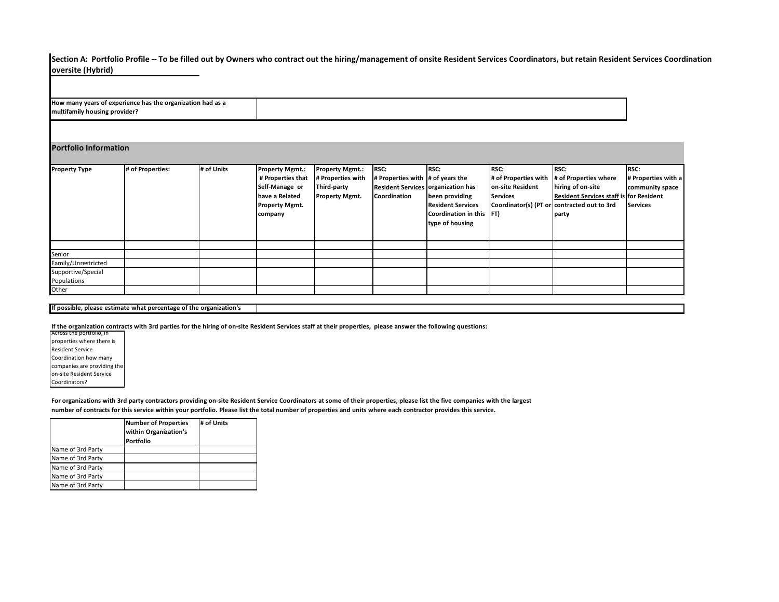**Section A: Portfolio Profile -- To be filled out by Owners who contract out the hiring/management of onsite Resident Services Coordinators, but retain Resident Services Coordination oversite (Hybrid)**

**How many years of experience has the organization had as a multifamily housing provider?**

#### **Portfolio Information**

| <b>Property Type</b> | # of Properties: | # of Units | <b>Property Mgmt.:</b> | <b>Property Mgmt.:</b> | RSC:                               | RSC:                     | <b>RSC:</b>          | <b>RSC:</b>                                    | <b>RSC:</b>         |
|----------------------|------------------|------------|------------------------|------------------------|------------------------------------|--------------------------|----------------------|------------------------------------------------|---------------------|
|                      |                  |            | # Properties that      | # Properties with      | # Properties with # of years the   |                          | # of Properties with | # of Properties where                          | # Properties with a |
|                      |                  |            | Self-Manage or         | Third-party            | Resident Services organization has |                          | on-site Resident     | hiring of on-site                              | community space     |
|                      |                  |            | have a Related         | <b>Property Mgmt.</b>  | <b>Coordination</b>                | been providing           | <b>Services</b>      | <b>Resident Services staff is for Resident</b> |                     |
|                      |                  |            | <b>Property Mgmt.</b>  |                        |                                    | <b>Resident Services</b> |                      | Coordinator(s) (PT or contracted out to 3rd    | <b>Services</b>     |
|                      |                  |            | company                |                        |                                    | Coordination in this FT) |                      | party                                          |                     |
|                      |                  |            |                        |                        |                                    | type of housing          |                      |                                                |                     |
|                      |                  |            |                        |                        |                                    |                          |                      |                                                |                     |
|                      |                  |            |                        |                        |                                    |                          |                      |                                                |                     |
| Senior               |                  |            |                        |                        |                                    |                          |                      |                                                |                     |
| Family/Unrestricted  |                  |            |                        |                        |                                    |                          |                      |                                                |                     |
| Supportive/Special   |                  |            |                        |                        |                                    |                          |                      |                                                |                     |
| Populations          |                  |            |                        |                        |                                    |                          |                      |                                                |                     |
| Other                |                  |            |                        |                        |                                    |                          |                      |                                                |                     |

#### **If possible, please estimate what percentage of the organization's**

**If the organization contracts with 3rd parties for the hiring of on-site Resident Services staff at their properties, please answer the following questions:**

Across the portfolio, in properties where there is Resident Service Coordination how many companies are providing the on-site Resident Service Coordinators?

**For organizations with 3rd party contractors providing on-site Resident Service Coordinators at some of their properties, please list the five companies with the largest number of contracts for this service within your portfolio. Please list the total number of properties and units where each contractor provides this service.**

|                   | <b>Number of Properties</b><br>within Organization's<br>Portfolio | # of Units |
|-------------------|-------------------------------------------------------------------|------------|
|                   |                                                                   |            |
| Name of 3rd Party |                                                                   |            |
| Name of 3rd Party |                                                                   |            |
| Name of 3rd Party |                                                                   |            |
| Name of 3rd Party |                                                                   |            |
| Name of 3rd Party |                                                                   |            |